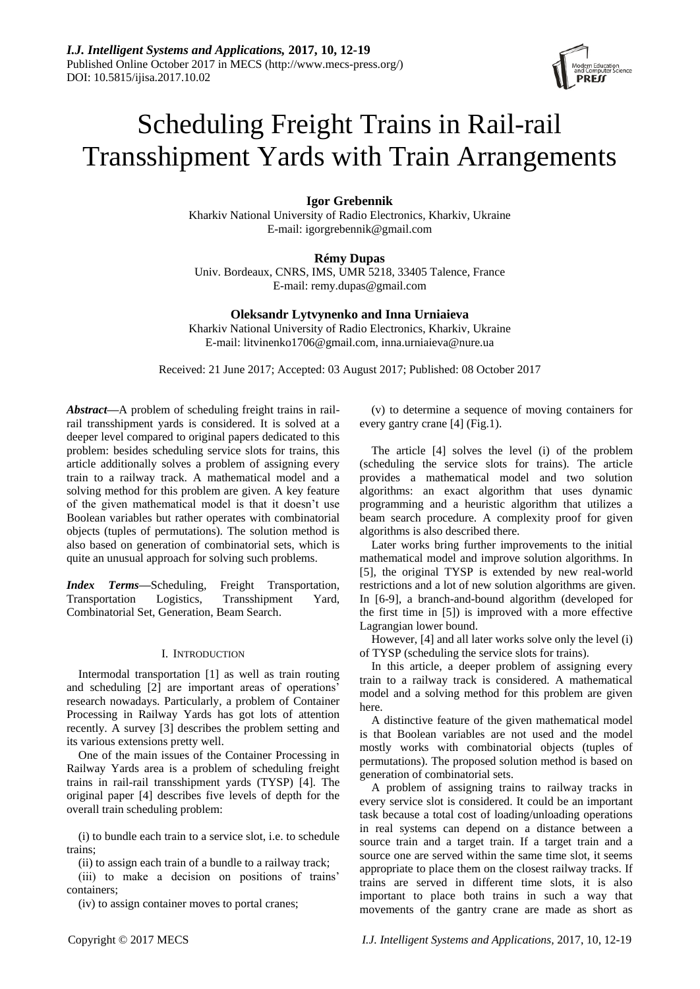# Scheduling Freight Trains in Rail-rail Transshipment Yards with Train Arrangements

# **Igor Grebennik**

Kharkiv National University of Radio Electronics, Kharkiv, Ukraine E-mail: igorgrebennik@gmail.com

# **Rémy Dupas**

Univ. Bordeaux, CNRS, IMS, UMR 5218, 33405 Talence, France E-mail: remy.dupas@gmail.com

# **Oleksandr Lytvynenko and Inna Urniaieva**

Kharkiv National University of Radio Electronics, Kharkiv, Ukraine E-mail: litvinenko1706@gmail.com, inna.urniaieva@nure.ua

Received: 21 June 2017; Accepted: 03 August 2017; Published: 08 October 2017

*Abstract—*A problem of scheduling freight trains in railrail transshipment yards is considered. It is solved at a deeper level compared to original papers dedicated to this problem: besides scheduling service slots for trains, this article additionally solves a problem of assigning every train to a railway track. A mathematical model and a solving method for this problem are given. A key feature of the given mathematical model is that it doesn't use Boolean variables but rather operates with combinatorial objects (tuples of permutations). The solution method is also based on generation of combinatorial sets, which is quite an unusual approach for solving such problems.

*Index Terms—*Scheduling, Freight Transportation, Transportation Logistics, Transshipment Yard, Combinatorial Set, Generation, Beam Search.

## I. INTRODUCTION

Intermodal transportation [1] as well as train routing and scheduling [2] are important areas of operations' research nowadays. Particularly, a problem of Container Processing in Railway Yards has got lots of attention recently. A survey [3] describes the problem setting and its various extensions pretty well.

One of the main issues of the Container Processing in Railway Yards area is a problem of scheduling freight trains in rail-rail transshipment yards (TYSP) [4]. The original paper [4] describes five levels of depth for the overall train scheduling problem:

(i) to bundle each train to a service slot, i.e. to schedule trains;

(ii) to assign each train of a bundle to a railway track;

(iii) to make a decision on positions of trains' containers;

(iv) to assign container moves to portal cranes;

(v) to determine a sequence of moving containers for every gantry crane [4] (Fig.1).

The article [4] solves the level (i) of the problem (scheduling the service slots for trains). The article provides a mathematical model and two solution algorithms: an exact algorithm that uses dynamic programming and a heuristic algorithm that utilizes a beam search procedure. A complexity proof for given algorithms is also described there.

Later works bring further improvements to the initial mathematical model and improve solution algorithms. In [5], the original TYSP is extended by new real-world restrictions and a lot of new solution algorithms are given. In [6-9], a branch-and-bound algorithm (developed for the first time in [5]) is improved with a more effective Lagrangian lower bound.

However, [4] and all later works solve only the level (i) of TYSP (scheduling the service slots for trains).

In this article, a deeper problem of assigning every train to a railway track is considered. A mathematical model and a solving method for this problem are given here.

A distinctive feature of the given mathematical model is that Boolean variables are not used and the model mostly works with combinatorial objects (tuples of permutations). The proposed solution method is based on generation of combinatorial sets.

A problem of assigning trains to railway tracks in every service slot is considered. It could be an important task because a total cost of loading/unloading operations in real systems can depend on a distance between a source train and a target train. If a target train and a source one are served within the same time slot, it seems appropriate to place them on the closest railway tracks. If trains are served in different time slots, it is also important to place both trains in such a way that movements of the gantry crane are made as short as

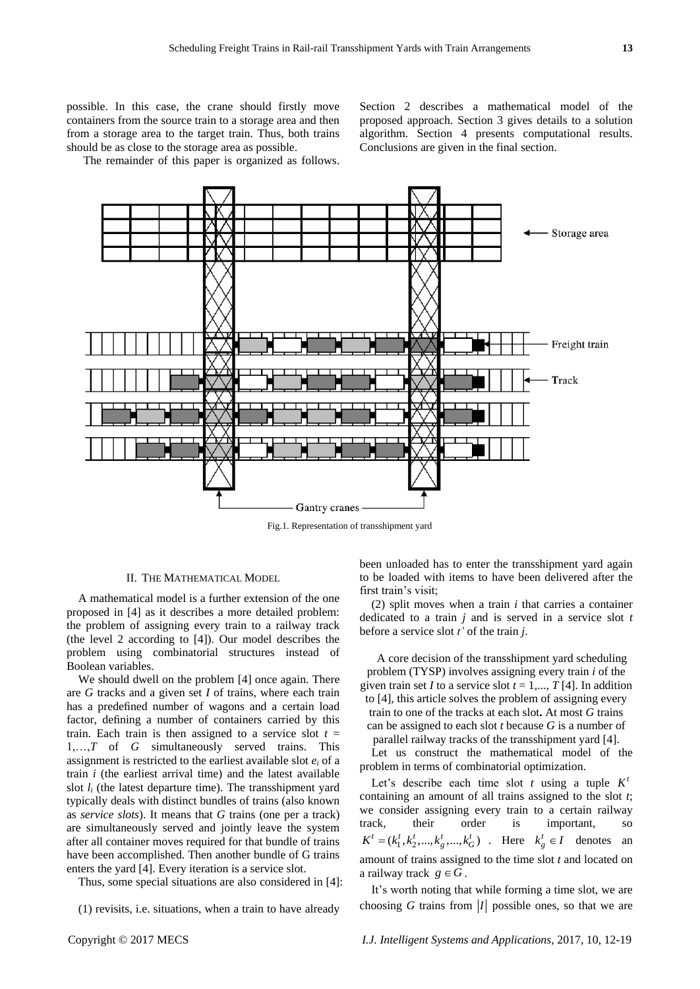possible. In this case, the crane should firstly move containers from the source train to a storage area and then from a storage area to the target train. Thus, both trains

should be as close to the storage area as possible. The remainder of this paper is organized as follows. Section 2 describes a mathematical model of the proposed approach. Section 3 gives details to a solution algorithm. Section 4 presents computational results. Conclusions are given in the final section.



Fig.1. Representation of transshipment yard

## II. THE MATHEMATICAL MODEL

A mathematical model is a further extension of the one proposed in [4] as it describes a more detailed problem: the problem of assigning every train to a railway track (the level 2 according to [4]). Our model describes the problem using combinatorial structures instead of Boolean variables.

We should dwell on the problem [4] once again. There are *G* tracks and a given set *I* of trains, where each train has a predefined number of wagons and a certain load factor, defining a number of containers carried by this train. Each train is then assigned to a service slot  $t =$ 1,…,*T* of *G* simultaneously served trains. This assignment is restricted to the earliest available slot  $e_i$  of a train *i* (the earliest arrival time) and the latest available slot  $l_i$  (the latest departure time). The transshipment yard typically deals with distinct bundles of trains (also known as *service slots*). It means that *G* trains (one per a track) are simultaneously served and jointly leave the system after all container moves required for that bundle of trains have been accomplished. Then another bundle of G trains enters the yard [4]. Every iteration is a service slot.

Thus, some special situations are also considered in [4]:

(1) revisits, i.e. situations, when a train to have already

been unloaded has to enter the transshipment yard again to be loaded with items to have been delivered after the first train's visit;

(2) split moves when a train *i* that carries a container dedicated to a train *j* and is served in a service slot *t* before a service slot *t'* of the train *j*.

A core decision of the transshipment yard scheduling problem (TYSP) involves assigning every train *i* of the given train set *I* to a service slot  $t = 1, \ldots, T$  [4]. In addition to [4], this article solves the problem of assigning every train to one of the tracks at each slot**.** At most *G* trains can be assigned to each slot *t* because *G* is a number of

parallel railway tracks of the transshipment yard [4]. Let us construct the mathematical model of the

problem in terms of combinatorial optimization.

Let's describe each time slot  $t$  using a tuple  $K<sup>t</sup>$ containing an amount of all trains assigned to the slot *t*; we consider assigning every train to a certain railway track, their order is important, so  $K^t = (k_1^t, k_2^t, ..., k_g^t, ..., k_G^t)$ . Here  $k_g^t \in I$  denotes an amount of trains assigned to the time slot *t* and located on a railway track  $g \in G$ .

It's worth noting that while forming a time slot, we are choosing G trains from  $|I|$  possible ones, so that we are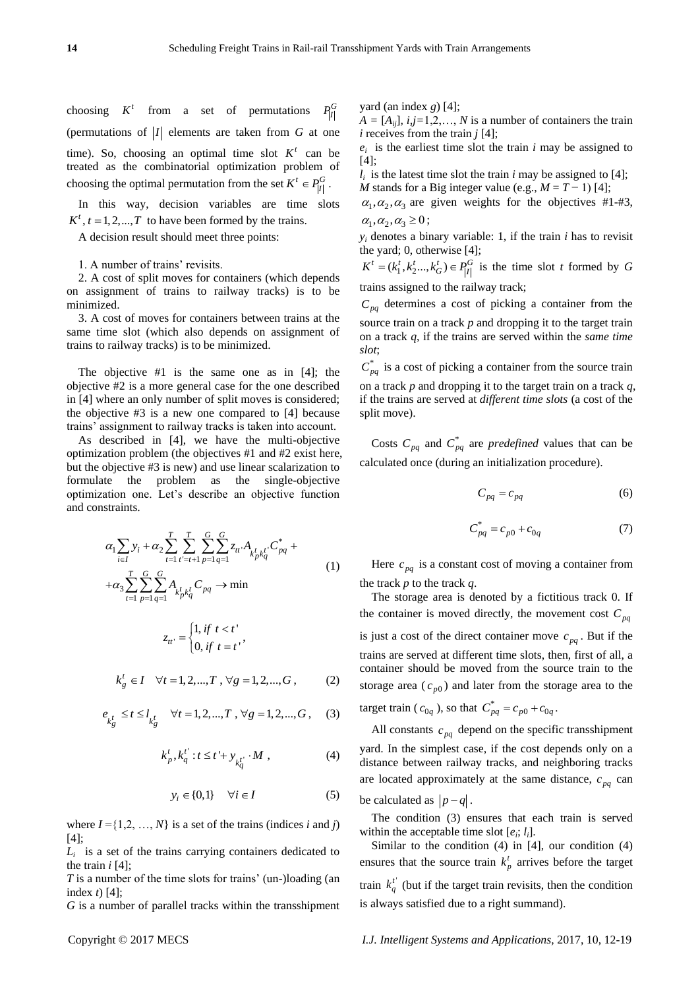choosing  $K^t$ from a set of permutations  $P_{|I|}^G$ (permutations of  $|I|$  elements are taken from  $G$  at one time). So, choosing an optimal time slot  $K^t$  can be treated as the combinatorial optimization problem of choosing the optimal permutation from the set  $K^t \in P_{|I|}^G$ .

In this way, decision variables are time slots  $K^t$ ,  $t = 1,2,...,T$  to have been formed by the trains.

A decision result should meet three points:

1. A number of trains' revisits.

2. A cost of split moves for containers (which depends on assignment of trains to railway tracks) is to be minimized.

3. A cost of moves for containers between trains at the same time slot (which also depends on assignment of trains to railway tracks) is to be minimized.

The objective #1 is the same one as in [4]; the objective #2 is a more general case for the one described in [4] where an only number of split moves is considered; the objective #3 is a new one compared to [4] because trains' assignment to railway tracks is taken into account.

As described in [4], we have the multi-objective optimization problem (the objectives #1 and #2 exist here, but the objective #3 is new) and use linear scalarization to formulate the problem as the single-objective optimization one. Let's describe an objective function and constraints.

$$
\alpha_{1} \sum_{i \in I} y_{i} + \alpha_{2} \sum_{t=1}^{T} \sum_{t'=t+1}^{T} \sum_{p=1}^{G} \sum_{q=1}^{G} z_{tt'} A_{k'_{p} k'_{q}} C^{*}_{pq} + \n+ \alpha_{3} \sum_{t=1}^{T} \sum_{p=1}^{G} \sum_{q=1}^{G} A_{k'_{p} k'_{q}} C_{pq} \rightarrow \min \n z_{tt'} = \begin{cases} 1, & \text{if } t < t \\ 0, & \text{if } t = t \end{cases}
$$
\n(1)

$$
k_g^t \in I \quad \forall t = 1, 2, ..., T , \forall g = 1, 2, ..., G,
$$
 (2)

 $u' = \begin{cases} 0, & \text{if } t = t' \end{cases}$ 

$$
e_{k_g^t} \le t \le l_{k_g^t} \quad \forall t = 1, 2, ..., T, \forall g = 1, 2, ..., G,
$$
 (3)

$$
k_p^t, k_q^{t'} : t \le t' + y_{k_q^{t'}} \cdot M , \qquad (4)
$$

$$
y_i \in \{0,1\} \quad \forall i \in I \tag{5}
$$

where  $I = \{1, 2, ..., N\}$  is a set of the trains (indices *i* and *j*) [4];

 $L_i$  is a set of the trains carrying containers dedicated to the train *i* [4];

*T* is a number of the time slots for trains' (un-)loading (an index *t*) [4];

*G* is a number of parallel tracks within the transshipment

yard (an index *g*) [4];

 $A = [A_{ij}]$ ,  $i, j=1,2,..., N$  is a number of containers the train *i* receives from the train *j* [4];

 $e_i$  is the earliest time slot the train  $i$  may be assigned to [4];

 $l_i$  is the latest time slot the train *i* may be assigned to [4]; *M* stands for a Big integer value (e.g.,  $M = T - 1$ ) [4];

 $\alpha_1, \alpha_2, \alpha_3$  are given weights for the objectives #1-#3,  $\alpha_1, \alpha_2, \alpha_3 \geq 0$ ;

 $y_i$  denotes a binary variable: 1, if the train *i* has to revisit the yard; 0, otherwise [4];

 $K^t = (k_1^t, k_2^t, \ldots, k_G^t) \in P_{[1]}^G$  is the time slot *t* formed by *G* trains assigned to the railway track;

 $C_{pq}$  determines a cost of picking a container from the source train on a track *p* and dropping it to the target train on a track *q*, if the trains are served within the *same time slot*;

 $C_{pq}^*$  is a cost of picking a container from the source train on a track *p* and dropping it to the target train on a track *q*,

if the trains are served at *different time slots* (a cost of the split move).

Costs  $C_{pq}$  and  $C_{pq}^*$  are *predefined* values that can be calculated once (during an initialization procedure).

$$
C_{pq} = c_{pq} \tag{6}
$$

$$
C_{pq}^* = c_{p0} + c_{0q} \tag{7}
$$

Here  $c_{pq}$  is a constant cost of moving a container from the track *p* to the track *q*.

The storage area is denoted by a fictitious track 0. If the container is moved directly, the movement cost  $C_{pq}$ is just a cost of the direct container move  $c_{pq}$ . But if the trains are served at different time slots, then, first of all, a container should be moved from the source train to the storage area  $(c_{p0})$  and later from the storage area to the target train ( $c_{0q}$ ), so that  $C_{pq}^{*} = c_{p0} + c_{0q}$ .

All constants  $c_{pq}$  depend on the specific transshipment yard. In the simplest case, if the cost depends only on a distance between railway tracks, and neighboring tracks are located approximately at the same distance,  $c_{pq}$  can be calculated as  $|p-q|$ .

The condition (3) ensures that each train is served within the acceptable time slot  $[e_i; l_i]$ .

Similar to the condition  $(4)$  in  $[4]$ , our condition  $(4)$ ensures that the source train  $k_p^t$  arrives before the target train  $k_q^t$  (but if the target train revisits, then the condition is always satisfied due to a right summand).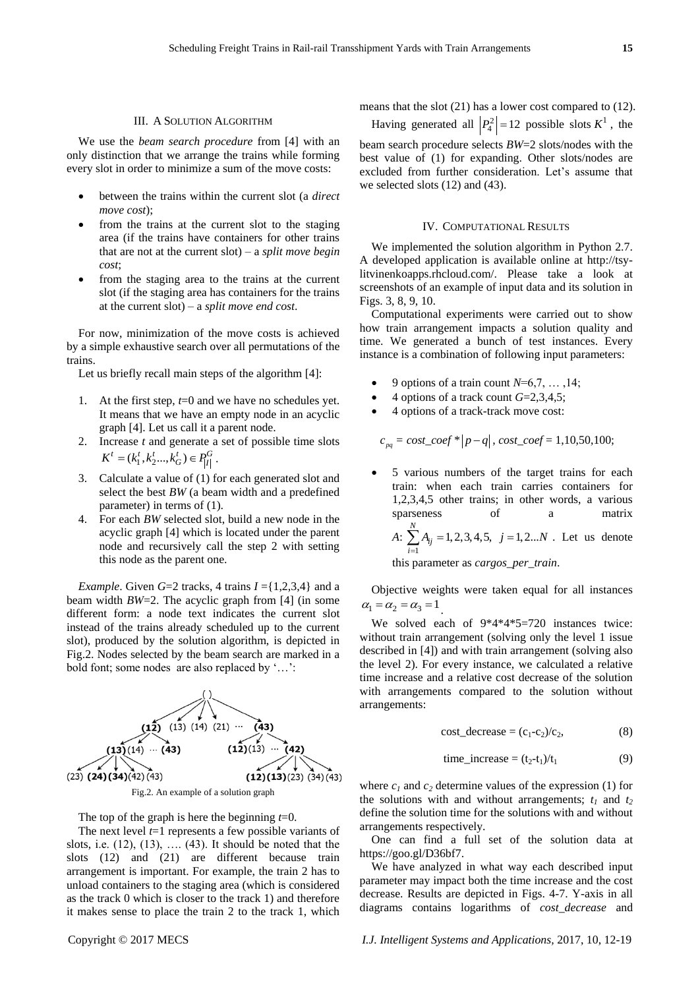#### III. A SOLUTION ALGORITHM

We use the *beam search procedure* from [4] with an only distinction that we arrange the trains while forming every slot in order to minimize a sum of the move costs:

- between the trains within the current slot (a *direct move cost*);
- from the trains at the current slot to the staging area (if the trains have containers for other trains that are not at the current slot) – a *split move begin cost*;
- from the staging area to the trains at the current slot (if the staging area has containers for the trains at the current slot) – a *split move end cost*.

For now, minimization of the move costs is achieved by a simple exhaustive search over all permutations of the trains.

Let us briefly recall main steps of the algorithm [4]:

- 1. At the first step, *t*=0 and we have no schedules yet. It means that we have an empty node in an acyclic graph [4]. Let us call it a parent node.
- 2. Increase *t* and generate a set of possible time slots  $K^t = (k_1^t, k_2^t, \ldots, k_G^t) \in P_{|I|}^G$ .
- 3. Calculate a value of (1) for each generated slot and select the best *BW* (a beam width and a predefined parameter) in terms of (1).
- 4. For each *BW* selected slot, build a new node in the acyclic graph [4] which is located under the parent node and recursively call the step 2 with setting this node as the parent one.

*Example*. Given  $G=2$  tracks, 4 trains  $I = \{1,2,3,4\}$  and a beam width *BW*=2. The acyclic graph from [4] (in some different form: a node text indicates the current slot instead of the trains already scheduled up to the current slot), produced by the solution algorithm, is depicted in Fig.2. Nodes selected by the beam search are marked in a bold font; some nodes are also replaced by '…':



Fig.2. An example of a solution graph

The top of the graph is here the beginning *t*=0.

The next level *t*=1 represents a few possible variants of slots, i.e.  $(12)$ ,  $(13)$ , ....  $(43)$ . It should be noted that the slots (12) and (21) are different because train arrangement is important. For example, the train 2 has to unload containers to the staging area (which is considered as the track 0 which is closer to the track 1) and therefore it makes sense to place the train 2 to the track 1, which

means that the slot (21) has a lower cost compared to (12).

Having generated all  $\left| P_4^2 \right| = 12$  possible slots  $K^1$ , the beam search procedure selects *BW*=2 slots/nodes with the best value of (1) for expanding. Other slots/nodes are excluded from further consideration. Let's assume that we selected slots (12) and (43).

#### IV. COMPUTATIONAL RESULTS

We implemented the solution algorithm in Python 2.7. A developed application is available online at http://tsylitvinenkoapps.rhcloud.com/. Please take a look at screenshots of an example of input data and its solution in Figs. 3, 8, 9, 10.

Computational experiments were carried out to show how train arrangement impacts a solution quality and time. We generated a bunch of test instances. Every instance is a combination of following input parameters:

- 9 options of a train count *N*=6,7, … ,14;
- 4 options of a track count *G*=2,3,4,5;
- 4 options of a track-track move cost:

$$
c_{pq} = cost\_coef * |p - q|
$$
, cost\\_coef = 1,10,50,100;

 5 various numbers of the target trains for each train: when each train carries containers for 1,2,3,4,5 other trains; in other words, a various sparseness of a matrix *A*: 1  $\sum_{i=1}^{N} A_{ij} = 1, 2, 3, 4, 5, \quad j = 1, 2...$ *ij i*  $A_{ij} = 1, 2, 3, 4, 5, j = 1, 2...N$  $\sum_{i=1}^{N} A_{ij} = 1, 2, 3, 4, 5, j = 1, 2...N$ . Let us denote

this parameter as *cargos\_per\_train*.

Objective weights were taken equal for all instances  $\alpha_1 = \alpha_2 = \alpha_3 = 1$ .

We solved each of  $9*4*4*5=720$  instances twice: without train arrangement (solving only the level 1 issue described in [4]) and with train arrangement (solving also the level 2). For every instance, we calculated a relative time increase and a relative cost decrease of the solution with arrangements compared to the solution without arrangements:

$$
cost\_decrease = (c_1-c_2)/c_2,
$$
 (8)

$$
time\_increase = (t_2 - t_1)/t_1 \tag{9}
$$

where  $c_1$  and  $c_2$  determine values of the expression (1) for the solutions with and without arrangements;  $t_1$  and  $t_2$ define the solution time for the solutions with and without arrangements respectively.

One can find a full set of the solution data at https://goo.gl/D36bf7.

We have analyzed in what way each described input parameter may impact both the time increase and the cost decrease. Results are depicted in Figs. 4-7. Y-axis in all diagrams contains logarithms of *cost\_decrease* and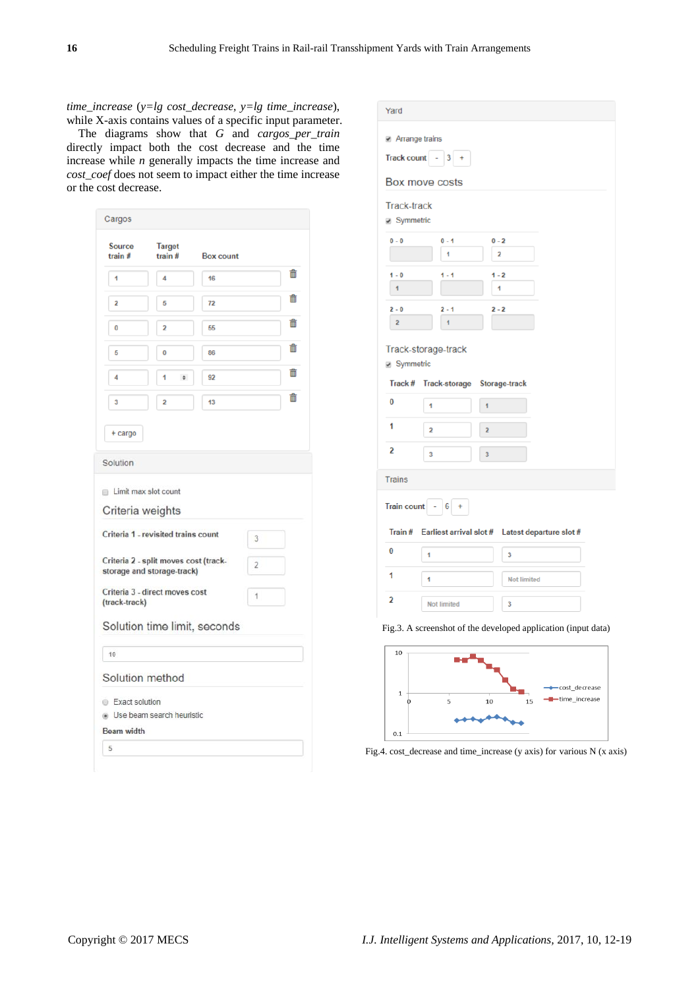*time\_increase* (*y=lg cost\_decrease, y=lg time\_increase*), while X-axis contains values of a specific input parameter.

The diagrams show that *G* and *cargos\_per\_train* directly impact both the cost decrease and the time increase while *n* generally impacts the time increase and *cost coef* does not seem to impact either the time increase or the cost decrease.

| <b>Source</b>                                             | <b>Target</b>                                                       |                  |                |              |
|-----------------------------------------------------------|---------------------------------------------------------------------|------------------|----------------|--------------|
| train $#$                                                 | train $#$                                                           | <b>Box count</b> |                |              |
| 1                                                         | 4                                                                   | 16               |                | <del>⋒</del> |
| $\overline{2}$                                            | 5                                                                   | 72               |                | 侖            |
| 0                                                         | 2                                                                   | 55               |                | 侖            |
| 5                                                         | $\bf{0}$                                                            | 86               |                | m            |
| 4                                                         | 1<br>$\ddot{\mathbf{v}}$                                            | 92               |                | m            |
| 3                                                         | 2                                                                   | 13               |                | 侖            |
|                                                           |                                                                     |                  |                |              |
| + cargo                                                   |                                                                     |                  |                |              |
| Solution                                                  |                                                                     |                  |                |              |
|                                                           |                                                                     |                  |                |              |
|                                                           |                                                                     |                  |                |              |
|                                                           |                                                                     |                  |                |              |
|                                                           |                                                                     |                  |                |              |
|                                                           | Criteria 1 - revisited trains count                                 |                  | 3              |              |
|                                                           | Criteria 2 - split moves cost (track-<br>storage and storage-track) |                  | $\overline{2}$ |              |
| Limit max slot count<br>Criteria weights<br>(track-track) | Criteria 3 - direct moves cost                                      |                  | 1              |              |
|                                                           |                                                                     |                  |                |              |
|                                                           | Solution time limit, seconds                                        |                  |                |              |
| 10                                                        |                                                                     |                  |                |              |
|                                                           |                                                                     |                  |                |              |
| Solution method<br>Exact solution                         |                                                                     |                  |                |              |
|                                                           | Use beam search heuristic                                           |                  |                |              |

| Yard                      |                                                   |                                                               |
|---------------------------|---------------------------------------------------|---------------------------------------------------------------|
| Arrange trains            |                                                   |                                                               |
| <b>Track count</b>        | 3                                                 |                                                               |
|                           | Box move costs                                    |                                                               |
| <b>Track-track</b>        |                                                   |                                                               |
| Symmetric                 |                                                   |                                                               |
| $0 - 0$                   | $0 - 1$                                           | $0 - 2$                                                       |
|                           | 1                                                 | 2                                                             |
| $1 - 0$<br>$\overline{1}$ | $1 - 1$                                           | $1 - 2$<br>1                                                  |
|                           |                                                   |                                                               |
| $2 - 0$<br>2              | $2 - 1$<br>1                                      | $2 - 2$                                                       |
|                           |                                                   |                                                               |
|                           | Track-storage-track                               |                                                               |
| Symmetric                 |                                                   |                                                               |
| Track #                   | <b>Track-storage</b>                              | Storage-track                                                 |
| $\bf{0}$                  | 1                                                 | 1                                                             |
| 1                         | 2                                                 | $\overline{2}$                                                |
| 2                         | 3                                                 | 3                                                             |
| <b>Trains</b>             |                                                   |                                                               |
| <b>Train count</b>        | 6 <sup>1</sup><br>$\overline{\phantom{a}}$<br>$+$ |                                                               |
| Train#                    | Earliest arrival slot #                           | Latest departure slot #                                       |
| $\bf{0}$                  | 1                                                 | 3                                                             |
| 1                         | 1                                                 | <b>Not limited</b>                                            |
| 2                         | <b>Not limited</b>                                | 3                                                             |
|                           |                                                   | Fig.3. A screenshot of the developed application (input data) |



Fig.4. cost\_decrease and time\_increase (y axis) for various N (x axis)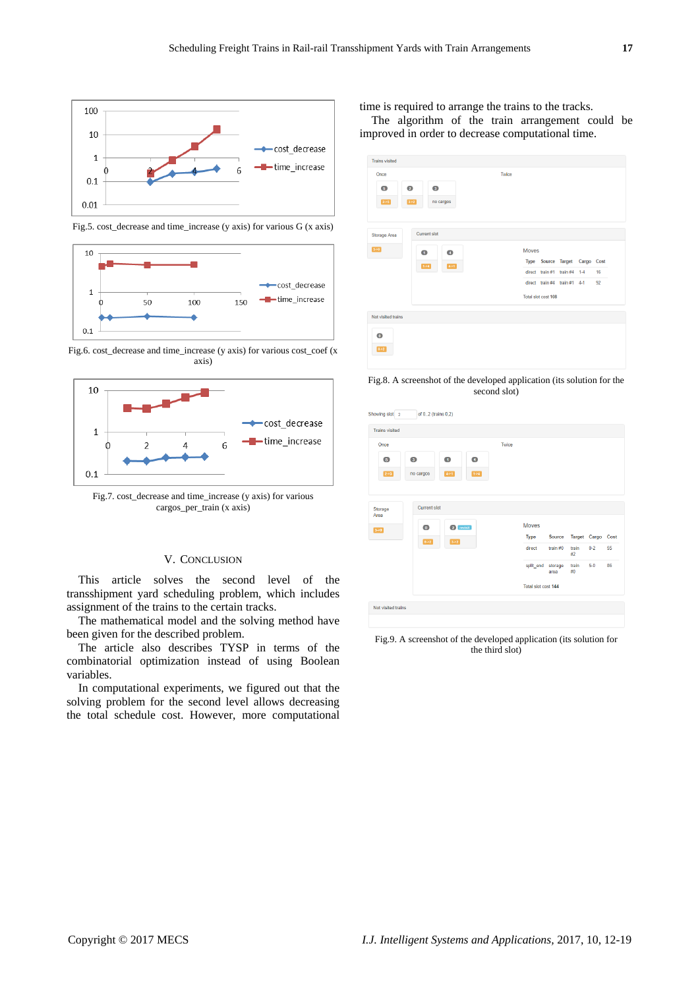

 $10$ cost decrease  $\overline{1}$ -T-time\_increase  $50$ 100  $150$  $0.1$ 

Fig.5. cost\_decrease and time\_increase (y axis) for various G (x axis)





Fig.7. cost\_decrease and time\_increase (y axis) for various cargos\_per\_train (x axis)

### V. CONCLUSION

This article solves the second level of the transshipment yard scheduling problem, which includes assignment of the trains to the certain tracks.

The mathematical model and the solving method have been given for the described problem.

The article also describes TYSP in terms of the combinatorial optimization instead of using Boolean variables.

In computational experiments, we figured out that the solving problem for the second level allows decreasing the total schedule cost. However, more computational time is required to arrange the trains to the tracks.

The algorithm of the train arrangement could be improved in order to decrease computational time.

| <b>Trains visited</b><br>Once |                   |                        | Twice |       |                               |                              |    |
|-------------------------------|-------------------|------------------------|-------|-------|-------------------------------|------------------------------|----|
| $\bullet$<br>$2-5$            | $\bullet$<br>3.52 | $\bullet$<br>no cargos |       |       |                               |                              |    |
| Storage Area                  |                   | <b>Current slot</b>    |       |       |                               |                              |    |
| $5-0$                         | $\bullet$         | $\bullet$              |       | Moves |                               |                              |    |
| $1 - 4$                       | $4-1$             |                        |       |       | Type Source Target Cargo Cost |                              |    |
|                               |                   |                        |       |       |                               | direct train #1 train #4 1-4 | 16 |
|                               |                   |                        |       |       |                               | direct train #4 train #1 4-1 | 92 |
|                               |                   |                        |       |       | Total slot cost 108           |                              |    |
| Not visited trains            |                   |                        |       |       |                               |                              |    |
| $\bullet$                     |                   |                        |       |       |                               |                              |    |
|                               |                   |                        |       |       |                               |                              |    |

Fig.8. A screenshot of the developed application (its solution for the second slot)

| Once                     |                                  |                     |                    | Twice |              |                 |             |                   |    |
|--------------------------|----------------------------------|---------------------|--------------------|-------|--------------|-----------------|-------------|-------------------|----|
| $\bullet$<br>$2 - 5$     | $\overline{3}$<br>no cargos      | $\bullet$<br>$4-21$ | $\bullet$<br>$1-4$ |       |              |                 |             |                   |    |
| Storage<br>Area<br>$5-0$ | <b>Current slot</b><br>$\bullet$ | 2 revisit           |                    |       | <b>Moves</b> |                 |             |                   |    |
|                          | $0-2$                            | $3-2$               |                    |       | <b>Type</b>  | <b>Source</b>   |             | Target Cargo Cost |    |
|                          |                                  |                     |                    |       | direct       | train $#0$      | train<br>#2 | $0 - 2$           | 55 |
|                          |                                  |                     |                    |       |              |                 |             |                   |    |
|                          |                                  |                     |                    |       | split_end    | storage<br>area | train<br>#0 | $5 - 0$           | 86 |

Fig.9. A screenshot of the developed application (its solution for the third slot)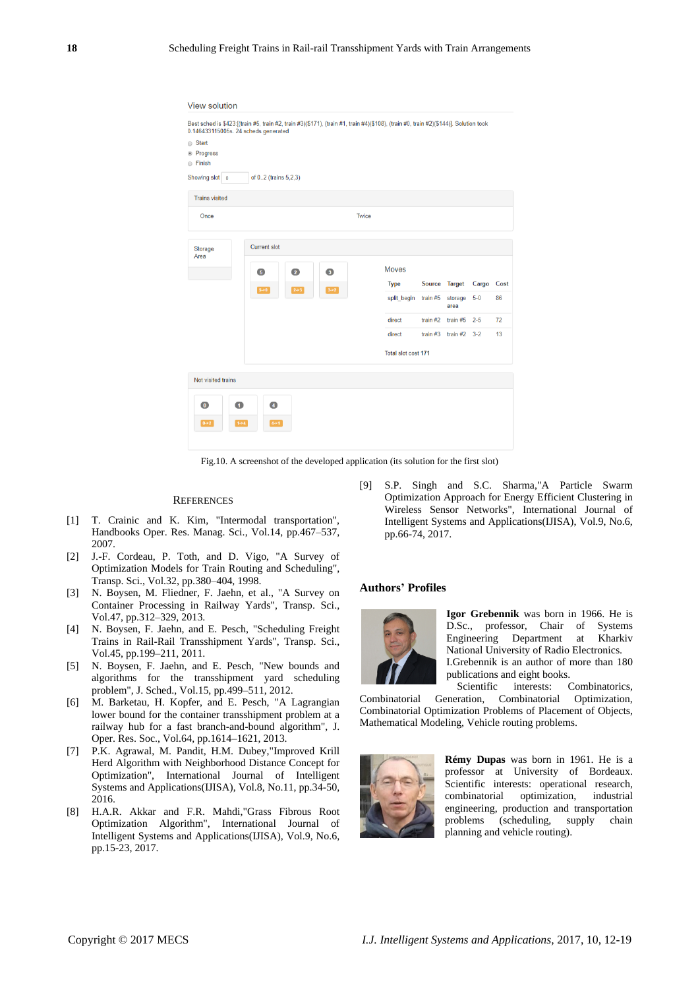| ◯ Start<br><sup>®</sup> Progress<br>○ Finish |                              |                         |       |                     |          |                           |       |      |
|----------------------------------------------|------------------------------|-------------------------|-------|---------------------|----------|---------------------------|-------|------|
| Showing slot 0                               | of 02 (trains 5,2,3)         |                         |       |                     |          |                           |       |      |
| <b>Trains visited</b>                        |                              |                         |       |                     |          |                           |       |      |
| Once                                         |                              |                         | Twice |                     |          |                           |       |      |
| Storage<br>Area                              | Current slot                 |                         |       |                     |          |                           |       |      |
|                                              | $\overline{2}$<br>$\sqrt{5}$ | $\overline{\mathbf{3}}$ |       | <b>Moves</b>        |          |                           |       |      |
|                                              | $5 - 0$<br>$2 - 5$           | $3 - 2$                 |       | <b>Type</b>         |          | Source Target             | Cargo | Cost |
|                                              |                              |                         |       | split begin         | train #5 | storage<br>area           | $5-0$ | 86   |
|                                              |                              |                         |       | direct              |          | train $#2$ train $#5$ 2-5 |       | 72   |
|                                              |                              |                         |       | direct              |          | train $#3$ train $#2$ 3-2 |       | 13   |
|                                              |                              |                         |       | Total slot cost 171 |          |                           |       |      |
| Not visited trains                           |                              |                         |       |                     |          |                           |       |      |
|                                              |                              |                         |       |                     |          |                           |       |      |

Fig.10. A screenshot of the developed application (its solution for the first slot)

#### **REFERENCES**

- [1] T. Crainic and K. Kim, "Intermodal transportation", Handbooks Oper. Res. Manag. Sci., Vol.14, pp.467–537, 2007.
- [2] J.-F. Cordeau, P. Toth, and D. Vigo, "A Survey of Optimization Models for Train Routing and Scheduling", Transp. Sci., Vol.32, pp.380–404, 1998.
- [3] N. Boysen, M. Fliedner, F. Jaehn, et al., "A Survey on Container Processing in Railway Yards", Transp. Sci., Vol.47, pp.312–329, 2013.
- [4] N. Boysen, F. Jaehn, and E. Pesch, "Scheduling Freight Trains in Rail-Rail Transshipment Yards", Transp. Sci., Vol.45, pp.199–211, 2011.
- [5] N. Boysen, F. Jaehn, and E. Pesch, "New bounds and algorithms for the transshipment yard scheduling problem", J. Sched., Vol.15, pp.499–511, 2012.
- [6] M. Barketau, H. Kopfer, and E. Pesch, "A Lagrangian lower bound for the container transshipment problem at a railway hub for a fast branch-and-bound algorithm", J. Oper. Res. Soc., Vol.64, pp.1614–1621, 2013.
- [7] P.K. Agrawal, M. Pandit, H.M. Dubey,"Improved Krill Herd Algorithm with Neighborhood Distance Concept for Optimization", International Journal of Intelligent Systems and Applications(IJISA), Vol.8, No.11, pp.34-50, 2016.
- [8] H.A.R. Akkar and F.R. Mahdi,"Grass Fibrous Root Optimization Algorithm", International Journal of Intelligent Systems and Applications(IJISA), Vol.9, No.6, pp.15-23, 2017.

[9] S.P. Singh and S.C. Sharma,"A Particle Swarm Optimization Approach for Energy Efficient Clustering in Wireless Sensor Networks", International Journal of Intelligent Systems and Applications(IJISA), Vol.9, No.6, pp.66-74, 2017.

#### **Authors' Profiles**



**Igor Grebennik** was born in 1966. He is D.Sc., professor, Chair of Systems Engineering Department at Kharkiv National University of Radio Electronics. I.Grebennik is an author of more than 180 publications and eight books.<br>Scientific interests: Combinatorics,

Scientific interests: Combinatorial Generation, Combinatorial Optimization, Combinatorial Optimization Problems of Placement of Objects, Mathematical Modeling, Vehicle routing problems.



**Rémy Dupas** was born in 1961. He is a professor at University of Bordeaux. Scientific interests: operational research, combinatorial optimization, industrial engineering, production and transportation problems (scheduling, supply chain planning and vehicle routing).